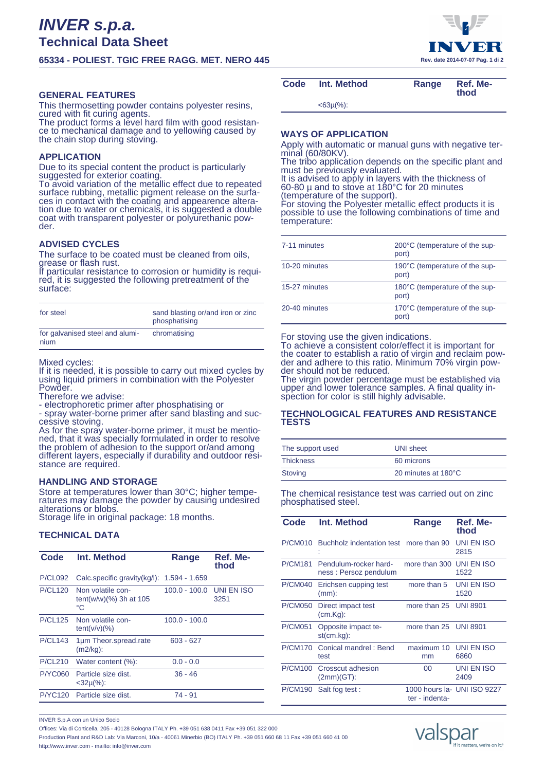# **65334 - POLIEST. TGIC FREE RAGG. MET. NERO 445 Rev. date 2014-07-07 Pag. 1 di 2**

# **GENERAL FEATURES**

This thermosetting powder contains polyester resins, cured with fit curing agents.

The product forms a level hard film with good resistance to mechanical damage and to yellowing caused by the chain stop during stoving.

## **APPLICATION**

Due to its special content the product is particularly suggested for exterior coating.

To avoid variation of the metallic effect due to repeated surface rubbing, metallic pigment release on the surfaces in contact with the coating and appearence alteration due to water or chemicals, it is suggested a double coat with transparent polyester or polyurethanic powder.

## **ADVISED CYCLES**

The surface to be coated must be cleaned from oils, grease or flash rust.<br>If particular resistant

particular resistance to corrosion or humidity is required, it is suggested the following pretreatment of the surface:

| for steel                               | sand blasting or/and iron or zinc<br>phosphatising |
|-----------------------------------------|----------------------------------------------------|
| for galvanised steel and alumi-<br>nium | chromatising                                       |

Mixed cycles:

If it is needed, it is possible to carry out mixed cycles by using liquid primers in combination with the Polyester Powder.

Therefore we advise:

- electrophoretic primer after phosphatising or

- spray water-borne primer after sand blasting and successive stoving.

As for the spray water-borne primer, it must be mentioned, that it was specially formulated in order to resolve the problem of adhesion to the support or/and among different layers, especially if durability and outdoor resistance are required.

## **HANDLING AND STORAGE**

Store at temperatures lower than 30°C; higher temperatures may damage the powder by causing undesired alterations or blobs.

Storage life in original package: 18 months.

# **TECHNICAL DATA**

| Code           | Int. Method                                          | Range           | Ref. Me-<br>thod   |
|----------------|------------------------------------------------------|-----------------|--------------------|
| <b>P/CL092</b> | Calc.specific gravity(kg/l):                         | $1.594 - 1.659$ |                    |
| <b>P/CL120</b> | Non volatile con-<br>$tent(w/w)(\%) 3h at 105$<br>°C | $100.0 - 100.0$ | UNI EN ISO<br>3251 |
| <b>P/CL125</b> | Non volatile con-<br>$tent(v/v)(\%)$                 | $100.0 - 100.0$ |                    |
| <b>P/CL143</b> | 1µm Theor.spread.rate<br>(m2/kg):                    | $603 - 627$     |                    |
| P/CL210        | Water content (%):                                   | $0.0 - 0.0$     |                    |
| <b>P/YC060</b> | Particle size dist.<br>$<$ 32µ(%):                   | $36 - 46$       |                    |
| <b>P/YC120</b> | Particle size dist.                                  | 74 - 91         |                    |

# Code Int. Method **Range Ref. Me-**

**thod**

<63µ(%):

## **WAYS OF APPLICATION**

Apply with automatic or manual guns with negative terminal (60/80KV).

The tribo application depends on the specific plant and must be previously evaluated.

It is advised to apply in layers with the thickness of 60-80 µ and to stove at 180°C for 20 minutes (temperature of the support).

For stoving the Polyester metallic effect products it is possible to use the following combinations of time and temperature:

| 7-11 minutes  | 200°C (temperature of the sup-<br>port) |
|---------------|-----------------------------------------|
| 10-20 minutes | 190°C (temperature of the sup-<br>port) |
| 15-27 minutes | 180°C (temperature of the sup-<br>port) |
| 20-40 minutes | 170°C (temperature of the sup-<br>port) |

#### For stoving use the given indications.

To achieve a consistent color/effect it is important for the coater to establish a ratio of virgin and reclaim powder and adhere to this ratio. Minimum 70% virgin powder should not be reduced.

The virgin powder percentage must be established via upper and lower tolerance samples. A final quality inspection for color is still highly advisable.

### **TECHNOLOGICAL FEATURES AND RESISTANCE TESTS**

| The support used | UNI sheet           |
|------------------|---------------------|
| <b>Thickness</b> | 60 microns          |
| Stoving          | 20 minutes at 180°C |

The chemical resistance test was carried out on zinc phosphatised steel.

| Code           | Int. Method                                    | Range                 | Ref. Me-<br>thod            |
|----------------|------------------------------------------------|-----------------------|-----------------------------|
| P/CM010        | Buchholz indentation test more than 90         |                       | UNI EN ISO<br>2815          |
| <b>P/CM181</b> | Pendulum-rocker hard-<br>ness: Persoz pendulum | more than 300         | UNI EN ISO<br>1522          |
| <b>P/CM040</b> | Erichsen cupping test<br>$(mm)$ :              | more than 5           | UNI EN ISO<br>1520          |
| <b>P/CM050</b> | Direct impact test<br>$(cm.Kq)$ :              | more than 25 UNI 8901 |                             |
| <b>P/CM051</b> | Opposite impact te-<br>$st(cm.kg)$ :           | more than 25 UNI 8901 |                             |
| <b>P/CM170</b> | Conical mandrel: Bend<br>test                  | maximum 10<br>mm      | UNI EN ISO<br>6860          |
| <b>P/CM100</b> | Crosscut adhesion<br>$(2mm)(GT)$ :             | $00 \,$               | UNI EN ISO<br>2409          |
|                | P/CM190 Salt fog test:                         | ter - indenta-        | 1000 hours la- UNI ISO 9227 |

INVER S.p.A con un Unico Socio

Offices: Via di Corticella, 205 - 40128 Bologna ITALY Ph. +39 051 638 0411 Fax +39 051 322 000 Production Plant and R&D Lab: Via Marconi, 10/a - 40061 Minerbio (BO) ITALY Ph. +39 051 660 68 11 Fax +39 051 660 41 00 http://www.inver.com - mailto: info@inver.com